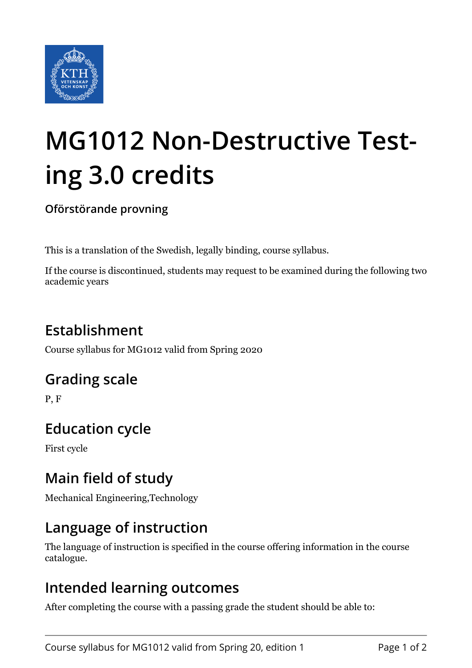

# **MG1012 Non-Destructive Testing 3.0 credits**

**Oförstörande provning**

This is a translation of the Swedish, legally binding, course syllabus.

If the course is discontinued, students may request to be examined during the following two academic years

# **Establishment**

Course syllabus for MG1012 valid from Spring 2020

#### **Grading scale**

P, F

# **Education cycle**

First cycle

## **Main field of study**

Mechanical Engineering,Technology

#### **Language of instruction**

The language of instruction is specified in the course offering information in the course catalogue.

#### **Intended learning outcomes**

After completing the course with a passing grade the student should be able to: